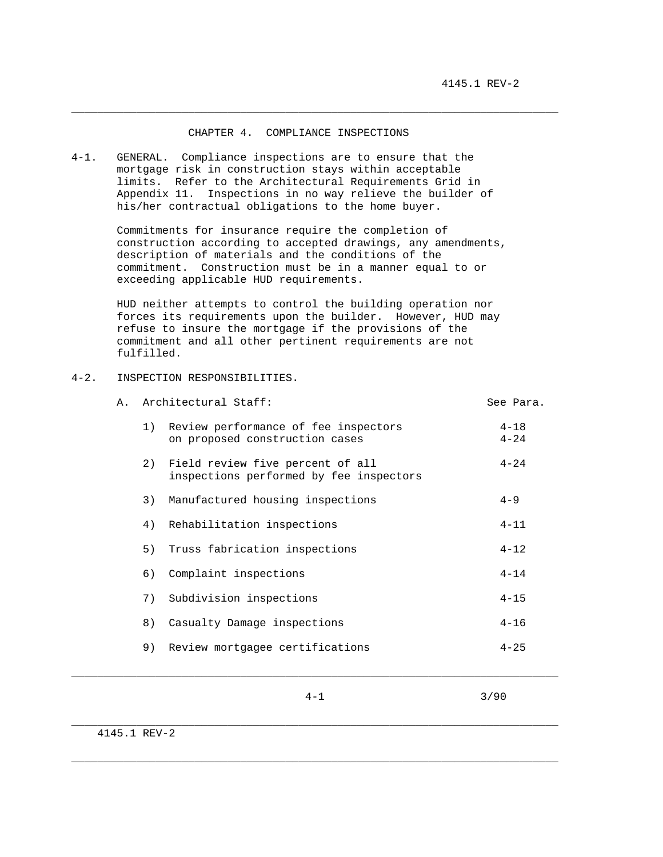## CHAPTER 4. COMPLIANCE INSPECTIONS

\_\_\_\_\_\_\_\_\_\_\_\_\_\_\_\_\_\_\_\_\_\_\_\_\_\_\_\_\_\_\_\_\_\_\_\_\_\_\_\_\_\_\_\_\_\_\_\_\_\_\_\_\_\_\_\_\_\_\_\_\_\_\_\_\_\_\_\_\_\_\_\_\_\_\_

4-1. GENERAL. Compliance inspections are to ensure that the mortgage risk in construction stays within acceptable limits. Refer to the Architectural Requirements Grid in Appendix 11. Inspections in no way relieve the builder of his/her contractual obligations to the home buyer.

> Commitments for insurance require the completion of construction according to accepted drawings, any amendments, description of materials and the conditions of the commitment. Construction must be in a manner equal to or exceeding applicable HUD requirements.

 HUD neither attempts to control the building operation nor forces its requirements upon the builder. However, HUD may refuse to insure the mortgage if the provisions of the commitment and all other pertinent requirements are not fulfilled.

## 4-2. INSPECTION RESPONSIBILITIES.

| Α. | Architectural Staff:                                                        | See Para.            |
|----|-----------------------------------------------------------------------------|----------------------|
| 1) | Review performance of fee inspectors<br>on proposed construction cases      | $4 - 18$<br>$4 - 24$ |
| 2) | Field review five percent of all<br>inspections performed by fee inspectors | $4 - 24$             |
| 3) | Manufactured housing inspections                                            | $4 - 9$              |
| 4) | Rehabilitation inspections                                                  | $4 - 11$             |
| 5) | Truss fabrication inspections                                               | $4 - 12$             |
| 6) | Complaint inspections                                                       | $4 - 14$             |
| 7) | Subdivision inspections                                                     | $4 - 15$             |
| 8) | Casualty Damage inspections                                                 | $4 - 16$             |
| 9) | Review mortgagee certifications                                             | $4 - 25$             |
|    |                                                                             |                      |

 $4-1$  3/90

\_\_\_\_\_\_\_\_\_\_\_\_\_\_\_\_\_\_\_\_\_\_\_\_\_\_\_\_\_\_\_\_\_\_\_\_\_\_\_\_\_\_\_\_\_\_\_\_\_\_\_\_\_\_\_\_\_\_\_\_\_\_\_\_\_\_\_\_\_\_\_\_\_\_\_

\_\_\_\_\_\_\_\_\_\_\_\_\_\_\_\_\_\_\_\_\_\_\_\_\_\_\_\_\_\_\_\_\_\_\_\_\_\_\_\_\_\_\_\_\_\_\_\_\_\_\_\_\_\_\_\_\_\_\_\_\_\_\_\_\_\_\_\_\_\_\_\_\_\_\_

4145.1 REV-2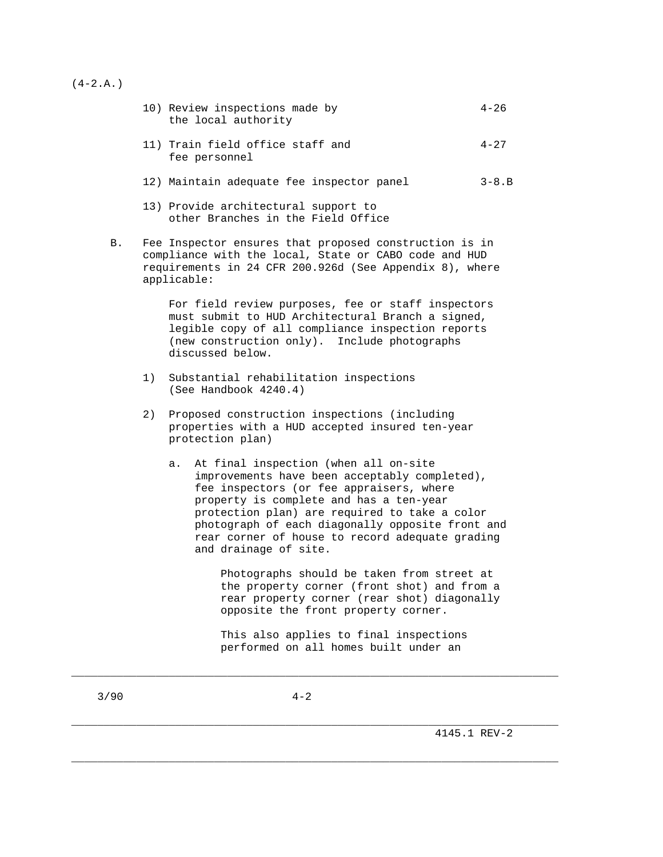$(4-2.A.)$ 

| 10) Review inspections made by<br>the local authority | $4 - 26$ |
|-------------------------------------------------------|----------|
| 11) Train field office staff and<br>fee personnel     | $4 - 27$ |

- 12) Maintain adequate fee inspector panel 3-8.B
- 13) Provide architectural support to other Branches in the Field Office
- B. Fee Inspector ensures that proposed construction is in compliance with the local, State or CABO code and HUD requirements in 24 CFR 200.926d (See Appendix 8), where applicable:

 For field review purposes, fee or staff inspectors must submit to HUD Architectural Branch a signed, legible copy of all compliance inspection reports (new construction only). Include photographs discussed below.

- 1) Substantial rehabilitation inspections (See Handbook 4240.4)
- 2) Proposed construction inspections (including properties with a HUD accepted insured ten-year protection plan)
	- a. At final inspection (when all on-site improvements have been acceptably completed), fee inspectors (or fee appraisers, where property is complete and has a ten-year protection plan) are required to take a color photograph of each diagonally opposite front and rear corner of house to record adequate grading and drainage of site.

 Photographs should be taken from street at the property corner (front shot) and from a rear property corner (rear shot) diagonally opposite the front property corner.

 This also applies to final inspections performed on all homes built under an

\_\_\_\_\_\_\_\_\_\_\_\_\_\_\_\_\_\_\_\_\_\_\_\_\_\_\_\_\_\_\_\_\_\_\_\_\_\_\_\_\_\_\_\_\_\_\_\_\_\_\_\_\_\_\_\_\_\_\_\_\_\_\_\_\_\_\_\_\_\_\_\_\_\_\_

\_\_\_\_\_\_\_\_\_\_\_\_\_\_\_\_\_\_\_\_\_\_\_\_\_\_\_\_\_\_\_\_\_\_\_\_\_\_\_\_\_\_\_\_\_\_\_\_\_\_\_\_\_\_\_\_\_\_\_\_\_\_\_\_\_\_\_\_\_\_\_\_\_\_\_

\_\_\_\_\_\_\_\_\_\_\_\_\_\_\_\_\_\_\_\_\_\_\_\_\_\_\_\_\_\_\_\_\_\_\_\_\_\_\_\_\_\_\_\_\_\_\_\_\_\_\_\_\_\_\_\_\_\_\_\_\_\_\_\_\_\_\_\_\_\_\_\_\_\_\_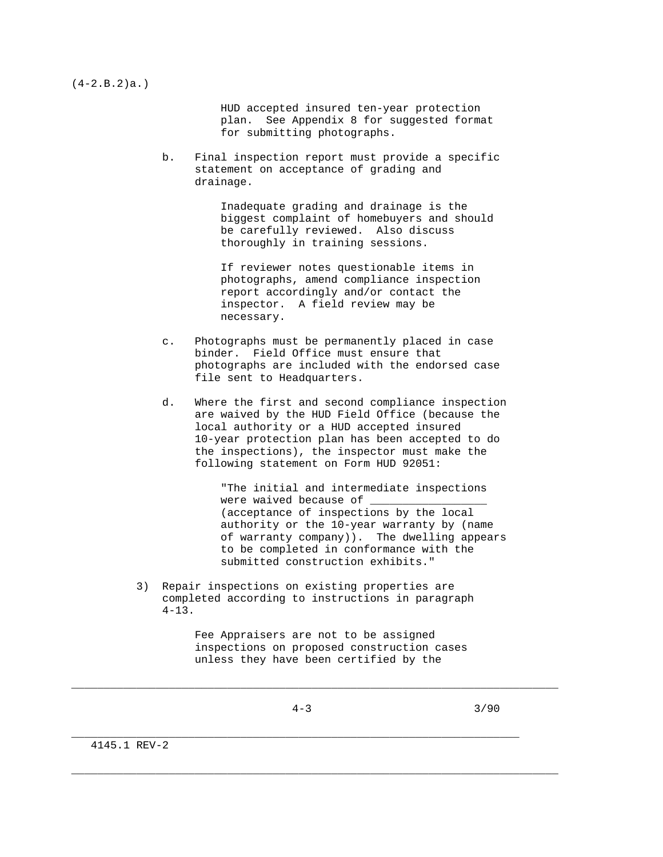$(4-2.B.2)a.$ 

 HUD accepted insured ten-year protection plan. See Appendix 8 for suggested format for submitting photographs.

 b. Final inspection report must provide a specific statement on acceptance of grading and drainage.

> Inadequate grading and drainage is the biggest complaint of homebuyers and should be carefully reviewed. Also discuss thoroughly in training sessions.

 If reviewer notes questionable items in photographs, amend compliance inspection report accordingly and/or contact the inspector. A field review may be necessary.

- c. Photographs must be permanently placed in case binder. Field Office must ensure that photographs are included with the endorsed case file sent to Headquarters.
- d. Where the first and second compliance inspection are waived by the HUD Field Office (because the local authority or a HUD accepted insured 10-year protection plan has been accepted to do the inspections), the inspector must make the following statement on Form HUD 92051:

 "The initial and intermediate inspections were waived because of (acceptance of inspections by the local authority or the 10-year warranty by (name of warranty company)). The dwelling appears to be completed in conformance with the submitted construction exhibits."

 3) Repair inspections on existing properties are completed according to instructions in paragraph  $4 - 13$ .

> Fee Appraisers are not to be assigned inspections on proposed construction cases unless they have been certified by the

\_\_\_\_\_\_\_\_\_\_\_\_\_\_\_\_\_\_\_\_\_\_\_\_\_\_\_\_\_\_\_\_\_\_\_\_\_\_\_\_\_\_\_\_\_\_\_\_\_\_\_\_\_\_\_\_\_\_\_\_\_\_\_\_\_\_\_\_\_\_\_\_\_\_\_

\_\_\_\_\_\_\_\_\_\_\_\_\_\_\_\_\_\_\_\_\_\_\_\_\_\_\_\_\_\_\_\_\_\_\_\_\_\_\_\_\_\_\_\_\_\_\_\_\_\_\_\_\_\_\_\_\_\_\_\_\_\_\_\_\_\_\_\_\_\_\_\_\_\_\_

\_\_\_\_\_\_\_\_\_\_\_\_\_\_\_\_\_\_\_\_\_\_\_\_\_\_\_\_\_\_\_\_\_\_\_\_\_\_\_\_\_\_\_\_\_\_\_\_\_\_\_\_\_\_\_\_\_\_\_\_\_\_\_\_\_\_\_\_\_

 $4-3$  3/90

4145.1 REV-2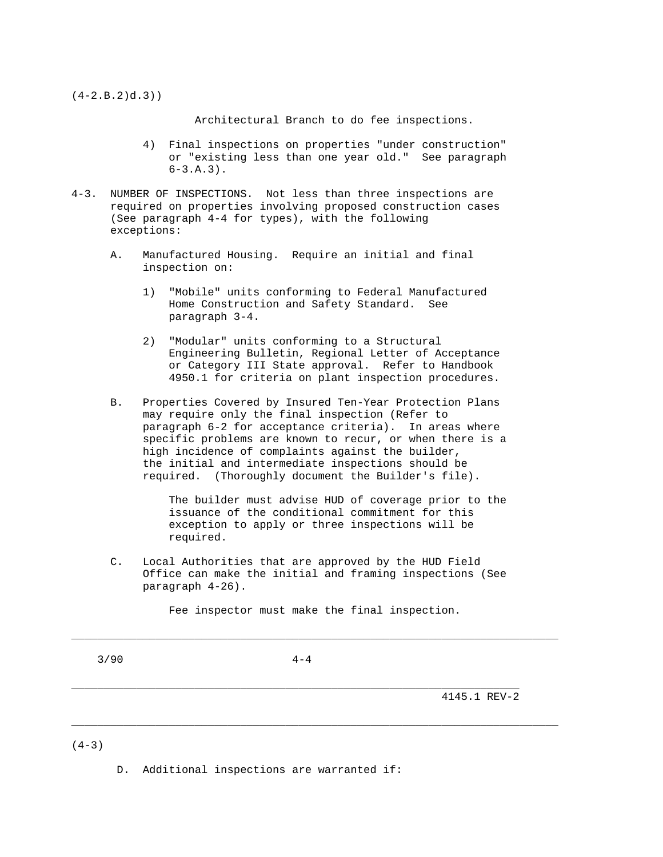$(4-2.B.2)d.3)$ )

Architectural Branch to do fee inspections.

- 4) Final inspections on properties "under construction" or "existing less than one year old." See paragraph  $6-3.A.3$ .
- 4-3. NUMBER OF INSPECTIONS. Not less than three inspections are required on properties involving proposed construction cases (See paragraph 4-4 for types), with the following exceptions:
	- A. Manufactured Housing. Require an initial and final inspection on:
		- 1) "Mobile" units conforming to Federal Manufactured Home Construction and Safety Standard. See paragraph 3-4.
		- 2) "Modular" units conforming to a Structural Engineering Bulletin, Regional Letter of Acceptance or Category III State approval. Refer to Handbook 4950.1 for criteria on plant inspection procedures.
	- B. Properties Covered by Insured Ten-Year Protection Plans may require only the final inspection (Refer to paragraph 6-2 for acceptance criteria). In areas where specific problems are known to recur, or when there is a high incidence of complaints against the builder, the initial and intermediate inspections should be required. (Thoroughly document the Builder's file).

 The builder must advise HUD of coverage prior to the issuance of the conditional commitment for this exception to apply or three inspections will be required.

 C. Local Authorities that are approved by the HUD Field Office can make the initial and framing inspections (See paragraph 4-26).

Fee inspector must make the final inspection.

\_\_\_\_\_\_\_\_\_\_\_\_\_\_\_\_\_\_\_\_\_\_\_\_\_\_\_\_\_\_\_\_\_\_\_\_\_\_\_\_\_\_\_\_\_\_\_\_\_\_\_\_\_\_\_\_\_\_\_\_\_\_\_\_\_\_\_\_\_\_\_\_\_\_\_

\_\_\_\_\_\_\_\_\_\_\_\_\_\_\_\_\_\_\_\_\_\_\_\_\_\_\_\_\_\_\_\_\_\_\_\_\_\_\_\_\_\_\_\_\_\_\_\_\_\_\_\_\_\_\_\_\_\_\_\_\_\_\_\_\_\_\_\_\_\_\_\_\_\_\_

 $3/90$   $4-4$ 

\_\_\_\_\_\_\_\_\_\_\_\_\_\_\_\_\_\_\_\_\_\_\_\_\_\_\_\_\_\_\_\_\_\_\_\_\_\_\_\_\_\_\_\_\_\_\_\_\_\_\_\_\_\_\_\_\_\_\_\_\_\_\_\_\_\_\_\_\_

4145.1 REV-2

 $(4-3)$ 

D. Additional inspections are warranted if: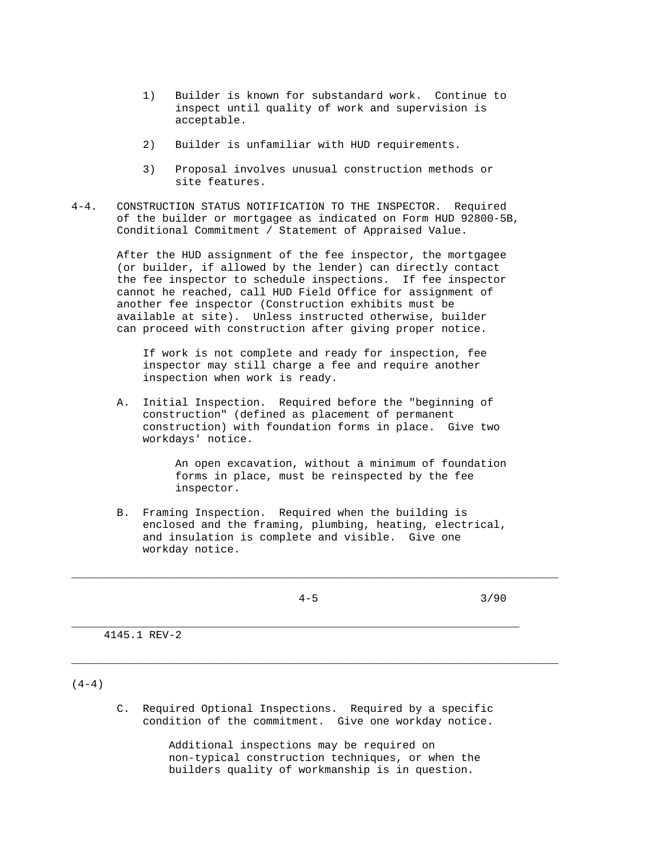- 1) Builder is known for substandard work. Continue to inspect until quality of work and supervision is acceptable.
- 2) Builder is unfamiliar with HUD requirements.
- 3) Proposal involves unusual construction methods or site features.
- 4-4. CONSTRUCTION STATUS NOTIFICATION TO THE INSPECTOR. Required of the builder or mortgagee as indicated on Form HUD 92800-5B, Conditional Commitment / Statement of Appraised Value.

 After the HUD assignment of the fee inspector, the mortgagee (or builder, if allowed by the lender) can directly contact the fee inspector to schedule inspections. If fee inspector cannot he reached, call HUD Field Office for assignment of another fee inspector (Construction exhibits must be available at site). Unless instructed otherwise, builder can proceed with construction after giving proper notice.

 If work is not complete and ready for inspection, fee inspector may still charge a fee and require another inspection when work is ready.

 A. Initial Inspection. Required before the "beginning of construction" (defined as placement of permanent construction) with foundation forms in place. Give two workdays' notice.

> An open excavation, without a minimum of foundation forms in place, must be reinspected by the fee inspector.

 B. Framing Inspection. Required when the building is enclosed and the framing, plumbing, heating, electrical, and insulation is complete and visible. Give one workday notice.

\_\_\_\_\_\_\_\_\_\_\_\_\_\_\_\_\_\_\_\_\_\_\_\_\_\_\_\_\_\_\_\_\_\_\_\_\_\_\_\_\_\_\_\_\_\_\_\_\_\_\_\_\_\_\_\_\_\_\_\_\_\_\_\_\_\_\_\_\_

\_\_\_\_\_\_\_\_\_\_\_\_\_\_\_\_\_\_\_\_\_\_\_\_\_\_\_\_\_\_\_\_\_\_\_\_\_\_\_\_\_\_\_\_\_\_\_\_\_\_\_\_\_\_\_\_\_\_\_\_\_\_\_\_\_\_\_\_\_\_\_\_\_\_\_

\_\_\_\_\_\_\_\_\_\_\_\_\_\_\_\_\_\_\_\_\_\_\_\_\_\_\_\_\_\_\_\_\_\_\_\_\_\_\_\_\_\_\_\_\_\_\_\_\_\_\_\_\_\_\_\_\_\_\_\_\_\_\_\_\_\_\_\_\_\_\_\_\_\_\_

 $4-5$  3/90

4145.1 REV-2

 $(4-4)$ 

 C. Required Optional Inspections. Required by a specific condition of the commitment. Give one workday notice.

> Additional inspections may be required on non-typical construction techniques, or when the builders quality of workmanship is in question.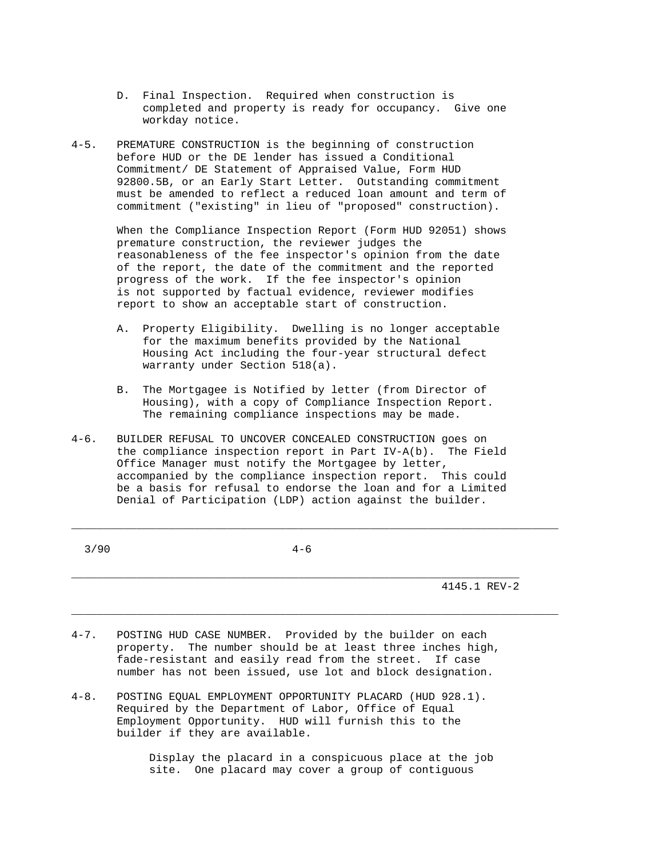- D. Final Inspection. Required when construction is completed and property is ready for occupancy. Give one workday notice.
- 4-5. PREMATURE CONSTRUCTION is the beginning of construction before HUD or the DE lender has issued a Conditional Commitment/ DE Statement of Appraised Value, Form HUD 92800.5B, or an Early Start Letter. Outstanding commitment must be amended to reflect a reduced loan amount and term of commitment ("existing" in lieu of "proposed" construction).

 When the Compliance Inspection Report (Form HUD 92051) shows premature construction, the reviewer judges the reasonableness of the fee inspector's opinion from the date of the report, the date of the commitment and the reported progress of the work. If the fee inspector's opinion is not supported by factual evidence, reviewer modifies report to show an acceptable start of construction.

- A. Property Eligibility. Dwelling is no longer acceptable for the maximum benefits provided by the National Housing Act including the four-year structural defect warranty under Section 518(a).
- B. The Mortgagee is Notified by letter (from Director of Housing), with a copy of Compliance Inspection Report. The remaining compliance inspections may be made.
- 4-6. BUILDER REFUSAL TO UNCOVER CONCEALED CONSTRUCTION goes on the compliance inspection report in Part IV-A(b). The Field Office Manager must notify the Mortgagee by letter, accompanied by the compliance inspection report. This could be a basis for refusal to endorse the loan and for a Limited Denial of Participation (LDP) action against the builder.
- $3/90$   $4-6$

\_\_\_\_\_\_\_\_\_\_\_\_\_\_\_\_\_\_\_\_\_\_\_\_\_\_\_\_\_\_\_\_\_\_\_\_\_\_\_\_\_\_\_\_\_\_\_\_\_\_\_\_\_\_\_\_\_\_\_\_\_\_\_\_\_\_\_\_\_

\_\_\_\_\_\_\_\_\_\_\_\_\_\_\_\_\_\_\_\_\_\_\_\_\_\_\_\_\_\_\_\_\_\_\_\_\_\_\_\_\_\_\_\_\_\_\_\_\_\_\_\_\_\_\_\_\_\_\_\_\_\_\_\_\_\_\_\_\_\_\_\_\_\_\_

\_\_\_\_\_\_\_\_\_\_\_\_\_\_\_\_\_\_\_\_\_\_\_\_\_\_\_\_\_\_\_\_\_\_\_\_\_\_\_\_\_\_\_\_\_\_\_\_\_\_\_\_\_\_\_\_\_\_\_\_\_\_\_\_\_\_\_\_\_\_\_\_\_\_\_

4145.1 REV-2

- 4-7. POSTING HUD CASE NUMBER. Provided by the builder on each property. The number should be at least three inches high, fade-resistant and easily read from the street. If case number has not been issued, use lot and block designation.
- 4-8. POSTING EQUAL EMPLOYMENT OPPORTUNITY PLACARD (HUD 928.1). Required by the Department of Labor, Office of Equal Employment Opportunity. HUD will furnish this to the builder if they are available.

 Display the placard in a conspicuous place at the job site. One placard may cover a group of contiguous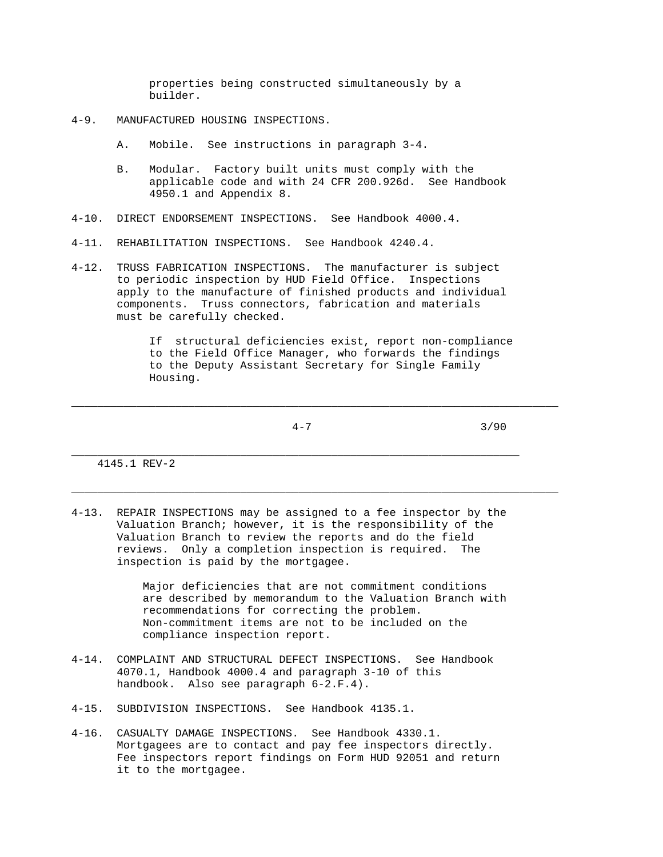properties being constructed simultaneously by a builder.

- 4-9. MANUFACTURED HOUSING INSPECTIONS.
	- A. Mobile. See instructions in paragraph 3-4.
	- B. Modular. Factory built units must comply with the applicable code and with 24 CFR 200.926d. See Handbook 4950.1 and Appendix 8.
- 4-10. DIRECT ENDORSEMENT INSPECTIONS. See Handbook 4000.4.
- 4-11. REHABILITATION INSPECTIONS. See Handbook 4240.4.
- 4-12. TRUSS FABRICATION INSPECTIONS. The manufacturer is subject to periodic inspection by HUD Field Office. Inspections apply to the manufacture of finished products and individual components. Truss connectors, fabrication and materials must be carefully checked.

 If structural deficiencies exist, report non-compliance to the Field Office Manager, who forwards the findings to the Deputy Assistant Secretary for Single Family Housing.

\_\_\_\_\_\_\_\_\_\_\_\_\_\_\_\_\_\_\_\_\_\_\_\_\_\_\_\_\_\_\_\_\_\_\_\_\_\_\_\_\_\_\_\_\_\_\_\_\_\_\_\_\_\_\_\_\_\_\_\_\_\_\_\_\_\_\_\_\_\_\_\_\_\_\_

\_\_\_\_\_\_\_\_\_\_\_\_\_\_\_\_\_\_\_\_\_\_\_\_\_\_\_\_\_\_\_\_\_\_\_\_\_\_\_\_\_\_\_\_\_\_\_\_\_\_\_\_\_\_\_\_\_\_\_\_\_\_\_\_\_\_\_\_\_\_\_\_\_\_\_

 $4-7$  3/90

4145.1 REV-2

4-13. REPAIR INSPECTIONS may be assigned to a fee inspector by the Valuation Branch; however, it is the responsibility of the Valuation Branch to review the reports and do the field reviews. Only a completion inspection is required. The inspection is paid by the mortgagee.

\_\_\_\_\_\_\_\_\_\_\_\_\_\_\_\_\_\_\_\_\_\_\_\_\_\_\_\_\_\_\_\_\_\_\_\_\_\_\_\_\_\_\_\_\_\_\_\_\_\_\_\_\_\_\_\_\_\_\_\_\_\_\_\_\_\_\_\_\_

 Major deficiencies that are not commitment conditions are described by memorandum to the Valuation Branch with recommendations for correcting the problem. Non-commitment items are not to be included on the compliance inspection report.

- 4-14. COMPLAINT AND STRUCTURAL DEFECT INSPECTIONS. See Handbook 4070.1, Handbook 4000.4 and paragraph 3-10 of this handbook. Also see paragraph 6-2.F.4).
- 4-15. SUBDIVISION INSPECTIONS. See Handbook 4135.1.
- 4-16. CASUALTY DAMAGE INSPECTIONS. See Handbook 4330.1. Mortgagees are to contact and pay fee inspectors directly. Fee inspectors report findings on Form HUD 92051 and return it to the mortgagee.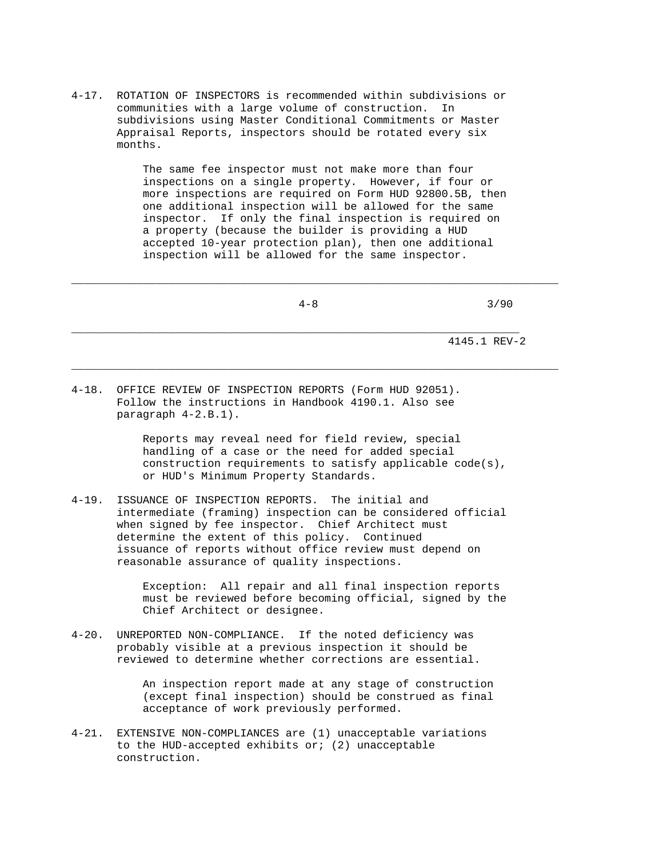4-17. ROTATION OF INSPECTORS is recommended within subdivisions or communities with a large volume of construction. In subdivisions using Master Conditional Commitments or Master Appraisal Reports, inspectors should be rotated every six months.

> The same fee inspector must not make more than four inspections on a single property. However, if four or more inspections are required on Form HUD 92800.5B, then one additional inspection will be allowed for the same inspector. If only the final inspection is required on a property (because the builder is providing a HUD accepted 10-year protection plan), then one additional inspection will be allowed for the same inspector.

 4-8 3/90 \_\_\_\_\_\_\_\_\_\_\_\_\_\_\_\_\_\_\_\_\_\_\_\_\_\_\_\_\_\_\_\_\_\_\_\_\_\_\_\_\_\_\_\_\_\_\_\_\_\_\_\_\_\_\_\_\_\_\_\_\_\_\_\_\_\_\_\_\_ 4145.1 REV-2

\_\_\_\_\_\_\_\_\_\_\_\_\_\_\_\_\_\_\_\_\_\_\_\_\_\_\_\_\_\_\_\_\_\_\_\_\_\_\_\_\_\_\_\_\_\_\_\_\_\_\_\_\_\_\_\_\_\_\_\_\_\_\_\_\_\_\_\_\_\_\_\_\_\_\_

\_\_\_\_\_\_\_\_\_\_\_\_\_\_\_\_\_\_\_\_\_\_\_\_\_\_\_\_\_\_\_\_\_\_\_\_\_\_\_\_\_\_\_\_\_\_\_\_\_\_\_\_\_\_\_\_\_\_\_\_\_\_\_\_\_\_\_\_\_\_\_\_\_\_\_

4-18. OFFICE REVIEW OF INSPECTION REPORTS (Form HUD 92051). Follow the instructions in Handbook 4190.1. Also see paragraph 4-2.B.1).

> Reports may reveal need for field review, special handling of a case or the need for added special construction requirements to satisfy applicable code(s), or HUD's Minimum Property Standards.

4-19. ISSUANCE OF INSPECTION REPORTS. The initial and intermediate (framing) inspection can be considered official when signed by fee inspector. Chief Architect must determine the extent of this policy. Continued issuance of reports without office review must depend on reasonable assurance of quality inspections.

> Exception: All repair and all final inspection reports must be reviewed before becoming official, signed by the Chief Architect or designee.

4-20. UNREPORTED NON-COMPLIANCE. If the noted deficiency was probably visible at a previous inspection it should be reviewed to determine whether corrections are essential.

> An inspection report made at any stage of construction (except final inspection) should be construed as final acceptance of work previously performed.

4-21. EXTENSIVE NON-COMPLIANCES are (1) unacceptable variations to the HUD-accepted exhibits or; (2) unacceptable construction.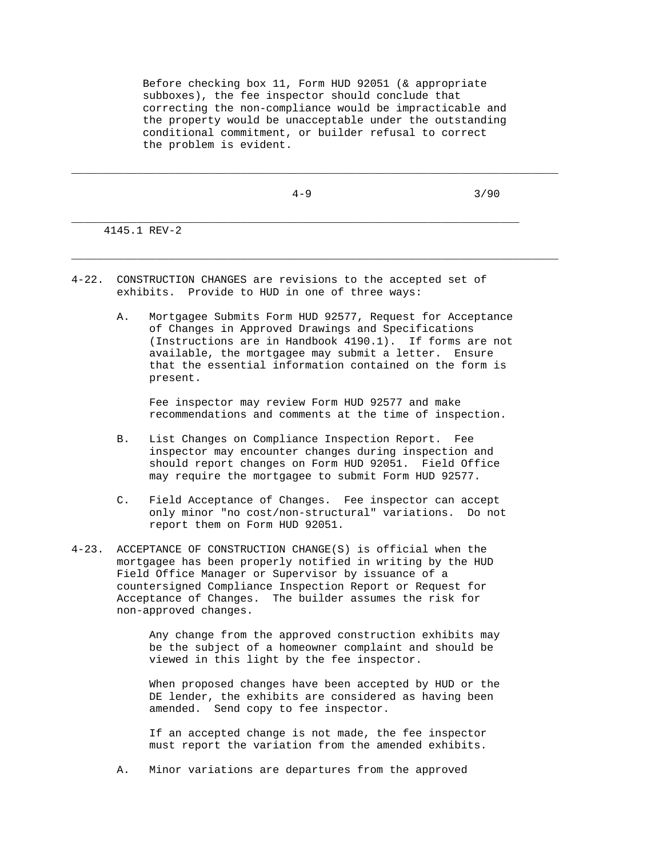Before checking box 11, Form HUD 92051 (& appropriate subboxes), the fee inspector should conclude that correcting the non-compliance would be impracticable and the property would be unacceptable under the outstanding conditional commitment, or builder refusal to correct the problem is evident.

\_\_\_\_\_\_\_\_\_\_\_\_\_\_\_\_\_\_\_\_\_\_\_\_\_\_\_\_\_\_\_\_\_\_\_\_\_\_\_\_\_\_\_\_\_\_\_\_\_\_\_\_\_\_\_\_\_\_\_\_\_\_\_\_\_\_\_\_\_\_\_\_\_\_\_

\_\_\_\_\_\_\_\_\_\_\_\_\_\_\_\_\_\_\_\_\_\_\_\_\_\_\_\_\_\_\_\_\_\_\_\_\_\_\_\_\_\_\_\_\_\_\_\_\_\_\_\_\_\_\_\_\_\_\_\_\_\_\_\_\_\_\_\_\_\_\_\_\_\_\_

\_\_\_\_\_\_\_\_\_\_\_\_\_\_\_\_\_\_\_\_\_\_\_\_\_\_\_\_\_\_\_\_\_\_\_\_\_\_\_\_\_\_\_\_\_\_\_\_\_\_\_\_\_\_\_\_\_\_\_\_\_\_\_\_\_\_\_\_\_

 $4-9$  3/90

4145.1 REV-2

- 4-22. CONSTRUCTION CHANGES are revisions to the accepted set of exhibits. Provide to HUD in one of three ways:
	- A. Mortgagee Submits Form HUD 92577, Request for Acceptance of Changes in Approved Drawings and Specifications (Instructions are in Handbook 4190.1). If forms are not available, the mortgagee may submit a letter. Ensure that the essential information contained on the form is present.

 Fee inspector may review Form HUD 92577 and make recommendations and comments at the time of inspection.

- B. List Changes on Compliance Inspection Report. Fee inspector may encounter changes during inspection and should report changes on Form HUD 92051. Field Office may require the mortgagee to submit Form HUD 92577.
- C. Field Acceptance of Changes. Fee inspector can accept only minor "no cost/non-structural" variations. Do not report them on Form HUD 92051.
- 4-23. ACCEPTANCE OF CONSTRUCTION CHANGE(S) is official when the mortgagee has been properly notified in writing by the HUD Field Office Manager or Supervisor by issuance of a countersigned Compliance Inspection Report or Request for Acceptance of Changes. The builder assumes the risk for non-approved changes.

 Any change from the approved construction exhibits may be the subject of a homeowner complaint and should be viewed in this light by the fee inspector.

 When proposed changes have been accepted by HUD or the DE lender, the exhibits are considered as having been amended. Send copy to fee inspector.

 If an accepted change is not made, the fee inspector must report the variation from the amended exhibits.

A. Minor variations are departures from the approved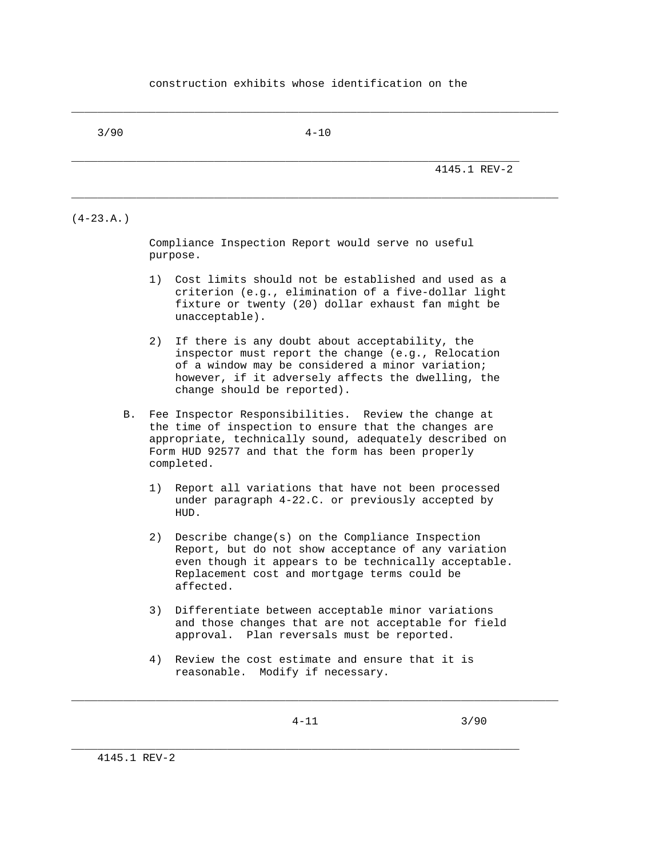## construction exhibits whose identification on the

3/90 4-10

\_\_\_\_\_\_\_\_\_\_\_\_\_\_\_\_\_\_\_\_\_\_\_\_\_\_\_\_\_\_\_\_\_\_\_\_\_\_\_\_\_\_\_\_\_\_\_\_\_\_\_\_\_\_\_\_\_\_\_\_\_\_\_\_\_\_\_\_\_\_\_\_\_\_\_

\_\_\_\_\_\_\_\_\_\_\_\_\_\_\_\_\_\_\_\_\_\_\_\_\_\_\_\_\_\_\_\_\_\_\_\_\_\_\_\_\_\_\_\_\_\_\_\_\_\_\_\_\_\_\_\_\_\_\_\_\_\_\_\_\_\_\_\_\_\_\_\_\_\_\_

\_\_\_\_\_\_\_\_\_\_\_\_\_\_\_\_\_\_\_\_\_\_\_\_\_\_\_\_\_\_\_\_\_\_\_\_\_\_\_\_\_\_\_\_\_\_\_\_\_\_\_\_\_\_\_\_\_\_\_\_\_\_\_\_\_\_\_\_\_ 4145.1 REV-2

## $(4-23.A.)$

 Compliance Inspection Report would serve no useful purpose.

- 1) Cost limits should not be established and used as a criterion (e.g., elimination of a five-dollar light fixture or twenty (20) dollar exhaust fan might be unacceptable).
- 2) If there is any doubt about acceptability, the inspector must report the change (e.g., Relocation of a window may be considered a minor variation; however, if it adversely affects the dwelling, the change should be reported).
- B. Fee Inspector Responsibilities. Review the change at the time of inspection to ensure that the changes are appropriate, technically sound, adequately described on Form HUD 92577 and that the form has been properly completed.
	- 1) Report all variations that have not been processed under paragraph 4-22.C. or previously accepted by HUD.
	- 2) Describe change(s) on the Compliance Inspection Report, but do not show acceptance of any variation even though it appears to be technically acceptable. Replacement cost and mortgage terms could be affected.
	- 3) Differentiate between acceptable minor variations and those changes that are not acceptable for field approval. Plan reversals must be reported.
	- 4) Review the cost estimate and ensure that it is reasonable. Modify if necessary.

\_\_\_\_\_\_\_\_\_\_\_\_\_\_\_\_\_\_\_\_\_\_\_\_\_\_\_\_\_\_\_\_\_\_\_\_\_\_\_\_\_\_\_\_\_\_\_\_\_\_\_\_\_\_\_\_\_\_\_\_\_\_\_\_\_\_\_\_\_\_\_\_\_\_\_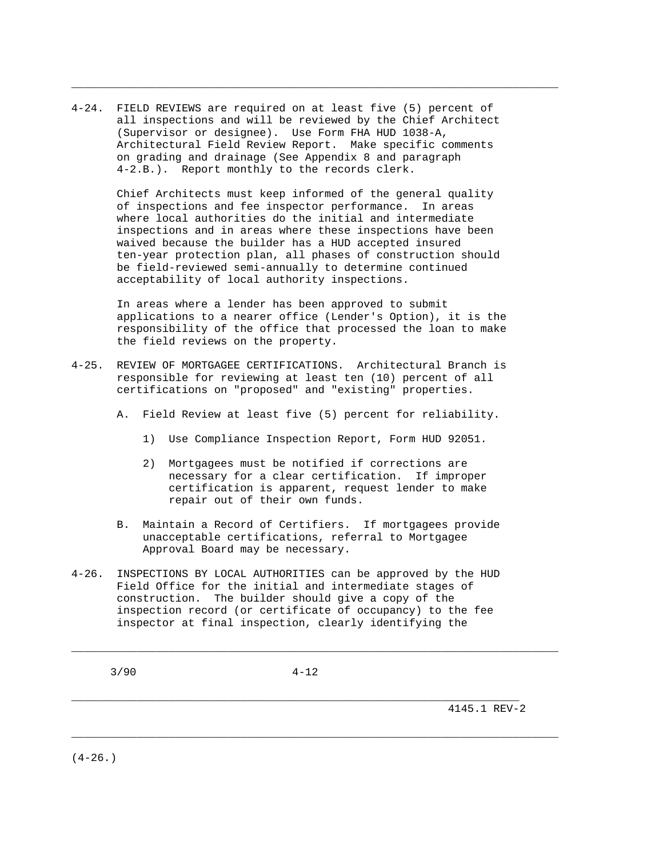4-24. FIELD REVIEWS are required on at least five (5) percent of all inspections and will be reviewed by the Chief Architect (Supervisor or designee). Use Form FHA HUD 1038-A, Architectural Field Review Report. Make specific comments on grading and drainage (See Appendix 8 and paragraph 4-2.B.). Report monthly to the records clerk.

> Chief Architects must keep informed of the general quality of inspections and fee inspector performance. In areas where local authorities do the initial and intermediate inspections and in areas where these inspections have been waived because the builder has a HUD accepted insured ten-year protection plan, all phases of construction should be field-reviewed semi-annually to determine continued acceptability of local authority inspections.

\_\_\_\_\_\_\_\_\_\_\_\_\_\_\_\_\_\_\_\_\_\_\_\_\_\_\_\_\_\_\_\_\_\_\_\_\_\_\_\_\_\_\_\_\_\_\_\_\_\_\_\_\_\_\_\_\_\_\_\_\_\_\_\_\_\_\_\_\_\_\_\_\_\_\_

 In areas where a lender has been approved to submit applications to a nearer office (Lender's Option), it is the responsibility of the office that processed the loan to make the field reviews on the property.

- 4-25. REVIEW OF MORTGAGEE CERTIFICATIONS. Architectural Branch is responsible for reviewing at least ten (10) percent of all certifications on "proposed" and "existing" properties.
	- A. Field Review at least five (5) percent for reliability.
		- 1) Use Compliance Inspection Report, Form HUD 92051.
		- 2) Mortgagees must be notified if corrections are necessary for a clear certification. If improper certification is apparent, request lender to make repair out of their own funds.
	- B. Maintain a Record of Certifiers. If mortgagees provide unacceptable certifications, referral to Mortgagee Approval Board may be necessary.
- 4-26. INSPECTIONS BY LOCAL AUTHORITIES can be approved by the HUD Field Office for the initial and intermediate stages of construction. The builder should give a copy of the inspection record (or certificate of occupancy) to the fee inspector at final inspection, clearly identifying the

3/90 4-12

\_\_\_\_\_\_\_\_\_\_\_\_\_\_\_\_\_\_\_\_\_\_\_\_\_\_\_\_\_\_\_\_\_\_\_\_\_\_\_\_\_\_\_\_\_\_\_\_\_\_\_\_\_\_\_\_\_\_\_\_\_\_\_\_\_\_\_\_\_

\_\_\_\_\_\_\_\_\_\_\_\_\_\_\_\_\_\_\_\_\_\_\_\_\_\_\_\_\_\_\_\_\_\_\_\_\_\_\_\_\_\_\_\_\_\_\_\_\_\_\_\_\_\_\_\_\_\_\_\_\_\_\_\_\_\_\_\_\_\_\_\_\_\_\_

\_\_\_\_\_\_\_\_\_\_\_\_\_\_\_\_\_\_\_\_\_\_\_\_\_\_\_\_\_\_\_\_\_\_\_\_\_\_\_\_\_\_\_\_\_\_\_\_\_\_\_\_\_\_\_\_\_\_\_\_\_\_\_\_\_\_\_\_\_\_\_\_\_\_\_

4145.1 REV-2

 $(4-26.)$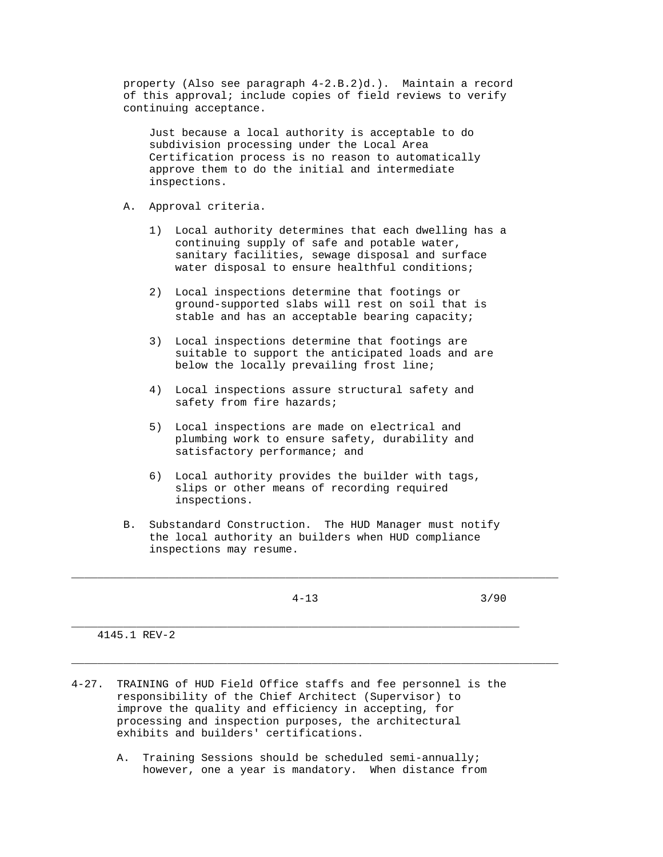property (Also see paragraph 4-2.B.2)d.). Maintain a record of this approval; include copies of field reviews to verify continuing acceptance.

 Just because a local authority is acceptable to do subdivision processing under the Local Area Certification process is no reason to automatically approve them to do the initial and intermediate inspections.

- A. Approval criteria.
	- 1) Local authority determines that each dwelling has a continuing supply of safe and potable water, sanitary facilities, sewage disposal and surface water disposal to ensure healthful conditions;
	- 2) Local inspections determine that footings or ground-supported slabs will rest on soil that is stable and has an acceptable bearing capacity;
	- 3) Local inspections determine that footings are suitable to support the anticipated loads and are below the locally prevailing frost line;
	- 4) Local inspections assure structural safety and safety from fire hazards;
	- 5) Local inspections are made on electrical and plumbing work to ensure safety, durability and satisfactory performance; and
	- 6) Local authority provides the builder with tags, slips or other means of recording required inspections.
- B. Substandard Construction. The HUD Manager must notify the local authority an builders when HUD compliance inspections may resume.

\_\_\_\_\_\_\_\_\_\_\_\_\_\_\_\_\_\_\_\_\_\_\_\_\_\_\_\_\_\_\_\_\_\_\_\_\_\_\_\_\_\_\_\_\_\_\_\_\_\_\_\_\_\_\_\_\_\_\_\_\_\_\_\_\_\_\_\_\_\_\_\_\_\_\_

\_\_\_\_\_\_\_\_\_\_\_\_\_\_\_\_\_\_\_\_\_\_\_\_\_\_\_\_\_\_\_\_\_\_\_\_\_\_\_\_\_\_\_\_\_\_\_\_\_\_\_\_\_\_\_\_\_\_\_\_\_\_\_\_\_\_\_\_\_\_\_\_\_\_\_

\_\_\_\_\_\_\_\_\_\_\_\_\_\_\_\_\_\_\_\_\_\_\_\_\_\_\_\_\_\_\_\_\_\_\_\_\_\_\_\_\_\_\_\_\_\_\_\_\_\_\_\_\_\_\_\_\_\_\_\_\_\_\_\_\_\_\_\_\_

4-13 3/90

4145.1 REV-2

- 4-27. TRAINING of HUD Field Office staffs and fee personnel is the responsibility of the Chief Architect (Supervisor) to improve the quality and efficiency in accepting, for processing and inspection purposes, the architectural exhibits and builders' certifications.
	- A. Training Sessions should be scheduled semi-annually; however, one a year is mandatory. When distance from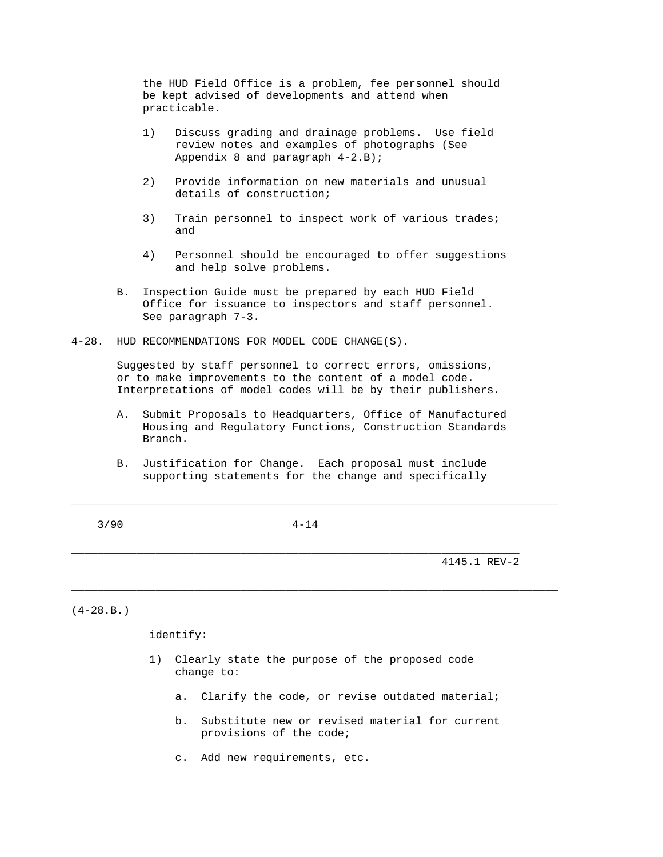the HUD Field Office is a problem, fee personnel should be kept advised of developments and attend when practicable.

- 1) Discuss grading and drainage problems. Use field review notes and examples of photographs (See Appendix 8 and paragraph 4-2.B);
- 2) Provide information on new materials and unusual details of construction;
- 3) Train personnel to inspect work of various trades; and
- 4) Personnel should be encouraged to offer suggestions and help solve problems.
- B. Inspection Guide must be prepared by each HUD Field Office for issuance to inspectors and staff personnel. See paragraph 7-3.
- 4-28. HUD RECOMMENDATIONS FOR MODEL CODE CHANGE(S).

 Suggested by staff personnel to correct errors, omissions, or to make improvements to the content of a model code. Interpretations of model codes will be by their publishers.

- A. Submit Proposals to Headquarters, Office of Manufactured Housing and Regulatory Functions, Construction Standards Branch.
- B. Justification for Change. Each proposal must include supporting statements for the change and specifically

3/90 4-14

\_\_\_\_\_\_\_\_\_\_\_\_\_\_\_\_\_\_\_\_\_\_\_\_\_\_\_\_\_\_\_\_\_\_\_\_\_\_\_\_\_\_\_\_\_\_\_\_\_\_\_\_\_\_\_\_\_\_\_\_\_\_\_\_\_\_\_\_\_\_\_\_\_\_\_

\_\_\_\_\_\_\_\_\_\_\_\_\_\_\_\_\_\_\_\_\_\_\_\_\_\_\_\_\_\_\_\_\_\_\_\_\_\_\_\_\_\_\_\_\_\_\_\_\_\_\_\_\_\_\_\_\_\_\_\_\_\_\_\_\_\_\_\_\_\_\_\_\_\_\_

\_\_\_\_\_\_\_\_\_\_\_\_\_\_\_\_\_\_\_\_\_\_\_\_\_\_\_\_\_\_\_\_\_\_\_\_\_\_\_\_\_\_\_\_\_\_\_\_\_\_\_\_\_\_\_\_\_\_\_\_\_\_\_\_\_\_\_\_\_ 4145.1 REV-2

 $(4-28.B.)$ 

identify:

- 1) Clearly state the purpose of the proposed code change to:
	- a. Clarify the code, or revise outdated material;
	- b. Substitute new or revised material for current provisions of the code;
	- c. Add new requirements, etc.